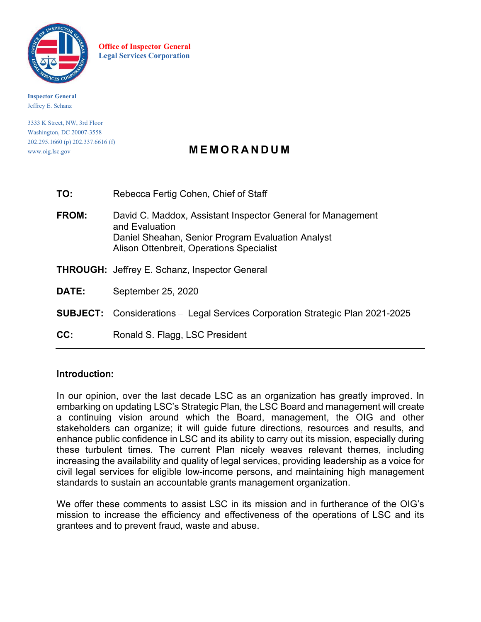

**Office of Inspector General Legal Services Corporation**

**Inspector General** Jeffrey E. Schanz

3333 K Street, NW, 3rd Floor Washington, DC 20007-3558 202.295.1660 (p) 202.337.6616 (f)

# www.oig.lsc.gov **MEMORANDUM**

| TO:          | Rebecca Fertig Cohen, Chief of Staff                                                                                                                                           |
|--------------|--------------------------------------------------------------------------------------------------------------------------------------------------------------------------------|
| <b>FROM:</b> | David C. Maddox, Assistant Inspector General for Management<br>and Evaluation<br>Daniel Sheahan, Senior Program Evaluation Analyst<br>Alison Ottenbreit, Operations Specialist |
|              | <b>THROUGH:</b> Jeffrey E. Schanz, Inspector General                                                                                                                           |
| DATE:        | September 25, 2020                                                                                                                                                             |
|              | <b>SUBJECT:</b> Considerations – Legal Services Corporation Strategic Plan 2021-2025                                                                                           |
| CC:          | Ronald S. Flagg, LSC President                                                                                                                                                 |

### Introduction:

In our opinion, over the last decade LSC as an organization has greatly improved. In embarking on updating LSC's Strategic Plan, the LSC Board and management will create a continuing vision around which the Board, management, the OIG and other stakeholders can organize; it will guide future directions, resources and results, and enhance public confidence in LSC and its ability to carry out its mission, especially during these turbulent times. The current Plan nicely weaves relevant themes, including increasing the availability and quality of legal services, providing leadership as a voice for civil legal services for eligible low-income persons, and maintaining high management standards to sustain an accountable grants management organization.

We offer these comments to assist LSC in its mission and in furtherance of the OIG's mission to increase the efficiency and effectiveness of the operations of LSC and its grantees and to prevent fraud, waste and abuse.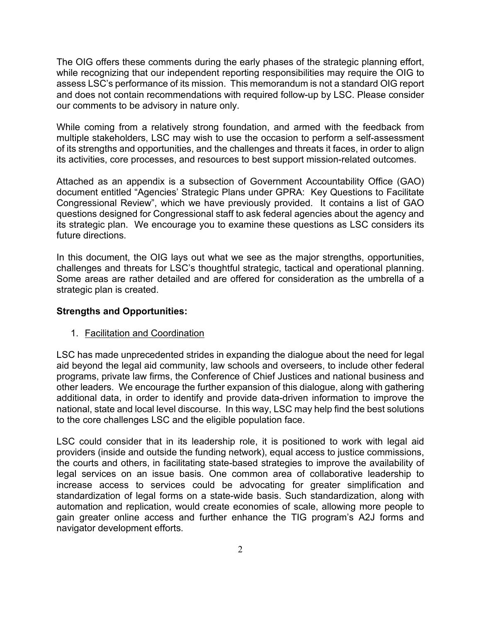The OIG offers these comments during the early phases of the strategic planning effort, while recognizing that our independent reporting responsibilities may require the OIG to assess LSC's performance of its mission. This memorandum is not a standard OIG report and does not contain recommendations with required follow-up by LSC. Please consider our comments to be advisory in nature only.

While coming from a relatively strong foundation, and armed with the feedback from multiple stakeholders, LSC may wish to use the occasion to perform a self-assessment of its strengths and opportunities, and the challenges and threats it faces, in order to align its activities, core processes, and resources to best support mission-related outcomes.

Attached as an appendix is a subsection of Government Accountability Office (GAO) document entitled "Agencies' Strategic Plans under GPRA: Key Questions to Facilitate Congressional Review", which we have previously provided. It contains a list of GAO questions designed for Congressional staff to ask federal agencies about the agency and its strategic plan. We encourage you to examine these questions as LSC considers its future directions.

In this document, the OIG lays out what we see as the major strengths, opportunities, challenges and threats for LSC's thoughtful strategic, tactical and operational planning. Some areas are rather detailed and are offered for consideration as the umbrella of a strategic plan is created.

### **Strengths and Opportunities:**

#### 1. Facilitation and Coordination

LSC has made unprecedented strides in expanding the dialogue about the need for legal aid beyond the legal aid community, law schools and overseers, to include other federal programs, private law firms, the Conference of Chief Justices and national business and other leaders. We encourage the further expansion of this dialogue, along with gathering additional data, in order to identify and provide data-driven information to improve the national, state and local level discourse. In this way, LSC may help find the best solutions to the core challenges LSC and the eligible population face.

LSC could consider that in its leadership role, it is positioned to work with legal aid providers (inside and outside the funding network), equal access to justice commissions, the courts and others, in facilitating state-based strategies to improve the availability of legal services on an issue basis. One common area of collaborative leadership to increase access to services could be advocating for greater simplification and standardization of legal forms on a state-wide basis. Such standardization, along with automation and replication, would create economies of scale, allowing more people to gain greater online access and further enhance the TIG program's A2J forms and navigator development efforts.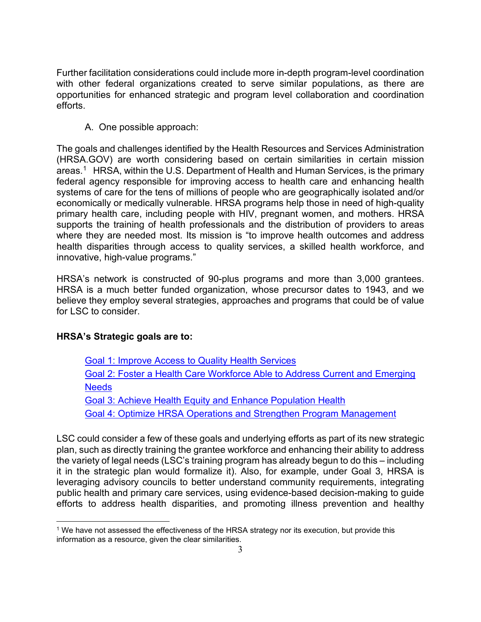Further facilitation considerations could include more in-depth program-level coordination with other federal organizations created to serve similar populations, as there are opportunities for enhanced strategic and program level collaboration and coordination efforts.

A. One possible approach:

The goals and challenges identified by the Health Resources and Services Administration (HRSA.GOV) are worth considering based on certain similarities in certain mission areas. [1](#page-2-0) HRSA, within the U.S. Department of Health and Human Services, is the primary federal agency responsible for improving access to health care and enhancing health systems of care for the tens of millions of people who are geographically isolated and/or economically or medically vulnerable. HRSA programs help those in need of high-quality primary health care, including people with HIV, pregnant women, and mothers. HRSA supports the training of health professionals and the distribution of providers to areas where they are needed most. Its mission is "to improve health outcomes and address health disparities through access to quality services, a skilled health workforce, and innovative, high-value programs."

HRSA's network is constructed of 90-plus programs and more than 3,000 grantees. HRSA is a much better funded organization, whose precursor dates to 1943, and we believe they employ several strategies, approaches and programs that could be of value for LSC to consider.

# **HRSA's Strategic goals are to:**

Goal 1: Improve Access to Quality Health [Services](https://www.hrsa.gov/about/strategic-plan/goal-1.html)

Goal 2: Foster a Health Care [Workforce](https://www.hrsa.gov/about/strategic-plan/goal-2.html) Able to Address Current and Emerging **[Needs](https://www.hrsa.gov/about/strategic-plan/goal-2.html)** 

Goal 3: Achieve Health Equity and Enhance [Population](https://www.hrsa.gov/about/strategic-plan/goal-3.html) Health

Goal 4: Optimize HRSA Operations and Strengthen Program [Management](https://www.hrsa.gov/about/strategic-plan/goal-4.html)

LSC could consider a few of these goals and underlying efforts as part of its new strategic plan, such as directly training the grantee workforce and enhancing their ability to address the variety of legal needs (LSC's training program has already begun to do this – including it in the strategic plan would formalize it). Also, for example, under Goal 3, HRSA is leveraging advisory councils to better understand community requirements, integrating public health and primary care services, using evidence-based decision-making to guide efforts to address health disparities, and promoting illness prevention and healthy

<span id="page-2-0"></span><sup>1</sup> We have not assessed the effectiveness of the HRSA strategy nor its execution, but provide this information as a resource, given the clear similarities.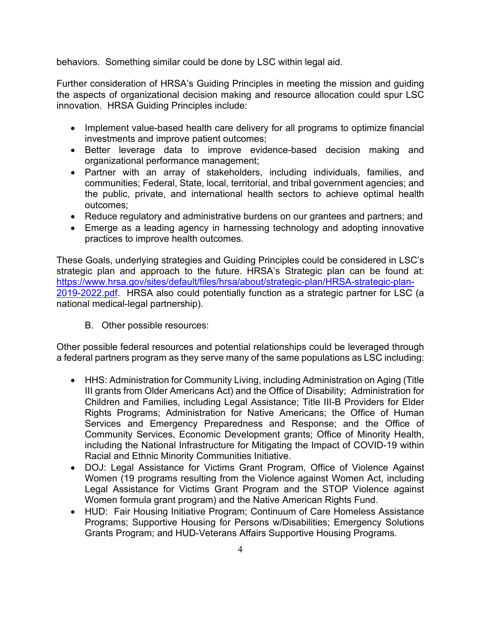behaviors. Something similar could be done by LSC within legal aid.

Further consideration of HRSA's Guiding Principles in meeting the mission and guiding the aspects of organizational decision making and resource allocation could spur LSC innovation. HRSA Guiding Principles include:

- Implement value-based health care delivery for all programs to optimize financial investments and improve patient outcomes;
- Better leverage data to improve evidence-based decision making and organizational performance management;
- Partner with an array of stakeholders, including individuals, families, and communities; Federal, State, local, territorial, and tribal government agencies; and the public, private, and international health sectors to achieve optimal health outcomes;
- Reduce regulatory and administrative burdens on our grantees and partners; and
- Emerge as a leading agency in harnessing technology and adopting innovative practices to improve health outcomes.

These Goals, underlying strategies and Guiding Principles could be considered in LSC's strategic plan and approach to the future. HRSA's Strategic plan can be found at: [https://www.hrsa.gov/sites/default/files/hrsa/about/strategic-plan/HRSA-strategic-plan-](https://www.hrsa.gov/sites/default/files/hrsa/about/strategic-plan/HRSA-strategic-plan-2019-2022.pdf)[2019-2022.pdf.](https://www.hrsa.gov/sites/default/files/hrsa/about/strategic-plan/HRSA-strategic-plan-2019-2022.pdf) HRSA also could potentially function as a strategic partner for LSC (a national medical-legal partnership).

B. Other possible resources:

Other possible federal resources and potential relationships could be leveraged through a federal partners program as they serve many of the same populations as LSC including:

- HHS: Administration for Community Living, including Administration on Aging (Title III grants from Older Americans Act) and the Office of Disability; Administration for Children and Families, including Legal Assistance; Title III-B Providers for Elder Rights Programs; Administration for Native Americans; the Office of Human Services and Emergency Preparedness and Response; and the Office of Community Services, Economic Development grants; Office of Minority Health, including the National Infrastructure for Mitigating the Impact of COVID-19 within Racial and Ethnic Minority Communities Initiative.
- DOJ: Legal Assistance for Victims Grant Program, Office of Violence Against Women (19 programs resulting from the Violence against Women Act, including Legal Assistance for Victims Grant Program and the STOP Violence against Women formula grant program) and the Native American Rights Fund.
- HUD: Fair Housing Initiative Program; Continuum of Care Homeless Assistance Programs; Supportive Housing for Persons w/Disabilities; Emergency Solutions Grants Program; and HUD-Veterans Affairs Supportive Housing Programs.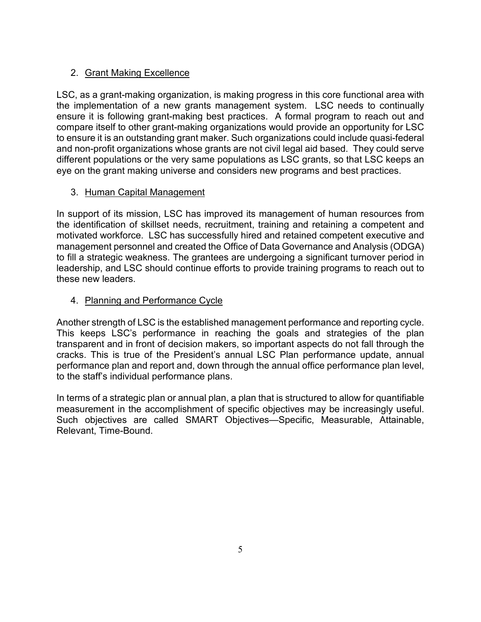# 2. Grant Making Excellence

LSC, as a grant-making organization, is making progress in this core functional area with the implementation of a new grants management system. LSC needs to continually ensure it is following grant-making best practices. A formal program to reach out and compare itself to other grant-making organizations would provide an opportunity for LSC to ensure it is an outstanding grant maker. Such organizations could include quasi-federal and non-profit organizations whose grants are not civil legal aid based. They could serve different populations or the very same populations as LSC grants, so that LSC keeps an eye on the grant making universe and considers new programs and best practices.

# 3. Human Capital Management

In support of its mission, LSC has improved its management of human resources from the identification of skillset needs, recruitment, training and retaining a competent and motivated workforce. LSC has successfully hired and retained competent executive and management personnel and created the Office of Data Governance and Analysis (ODGA) to fill a strategic weakness. The grantees are undergoing a significant turnover period in leadership, and LSC should continue efforts to provide training programs to reach out to these new leaders.

# 4. Planning and Performance Cycle

Another strength of LSC is the established management performance and reporting cycle. This keeps LSC's performance in reaching the goals and strategies of the plan transparent and in front of decision makers, so important aspects do not fall through the cracks. This is true of the President's annual LSC Plan performance update, annual performance plan and report and, down through the annual office performance plan level, to the staff's individual performance plans.

In terms of a strategic plan or annual plan, a plan that is structured to allow for quantifiable measurement in the accomplishment of specific objectives may be increasingly useful. Such objectives are called SMART Objectives—Specific, Measurable, Attainable, Relevant, Time-Bound.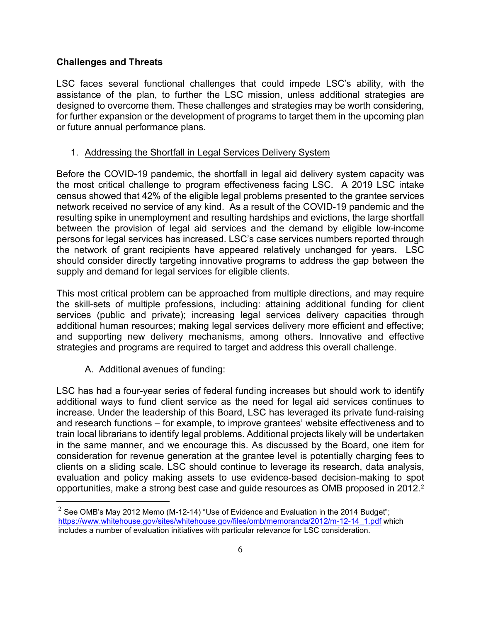### **Challenges and Threats**

LSC faces several functional challenges that could impede LSC's ability, with the assistance of the plan, to further the LSC mission, unless additional strategies are designed to overcome them. These challenges and strategies may be worth considering, for further expansion or the development of programs to target them in the upcoming plan or future annual performance plans.

#### 1. Addressing the Shortfall in Legal Services Delivery System

Before the COVID-19 pandemic, the shortfall in legal aid delivery system capacity was the most critical challenge to program effectiveness facing LSC. A 2019 LSC intake census showed that 42% of the eligible legal problems presented to the grantee services network received no service of any kind. As a result of the COVID-19 pandemic and the resulting spike in unemployment and resulting hardships and evictions, the large shortfall between the provision of legal aid services and the demand by eligible low-income persons for legal services has increased. LSC's case services numbers reported through the network of grant recipients have appeared relatively unchanged for years. LSC should consider directly targeting innovative programs to address the gap between the supply and demand for legal services for eligible clients.

This most critical problem can be approached from multiple directions, and may require the skill-sets of multiple professions, including: attaining additional funding for client services (public and private); increasing legal services delivery capacities through additional human resources; making legal services delivery more efficient and effective; and supporting new delivery mechanisms, among others. Innovative and effective strategies and programs are required to target and address this overall challenge.

A. Additional avenues of funding:

LSC has had a four-year series of federal funding increases but should work to identify additional ways to fund client service as the need for legal aid services continues to increase. Under the leadership of this Board, LSC has leveraged its private fund-raising and research functions – for example, to improve grantees' website effectiveness and to train local librarians to identify legal problems. Additional projects likely will be undertaken in the same manner, and we encourage this. As discussed by the Board, one item for consideration for revenue generation at the grantee level is potentially charging fees to clients on a sliding scale. LSC should continue to leverage its research, data analysis, evaluation and policy making assets to use evidence-based decision-making to spot opportunities, make a strong best case and guide resources as OMB proposed in [2](#page-5-0)012.<sup>2</sup>

<span id="page-5-0"></span><sup>&</sup>lt;sup>2</sup> See OMB's May 2012 Memo (M-12-14) "Use of Evidence and Evaluation in the 2014 Budget"; [https://www.whitehouse.gov/sites/whitehouse.gov/files/omb/memoranda/2012/m-12-14\\_1.pdf](https://www.whitehouse.gov/sites/whitehouse.gov/files/omb/memoranda/2012/m-12-14_1.pdf) which includes a number of evaluation initiatives with particular relevance for LSC consideration.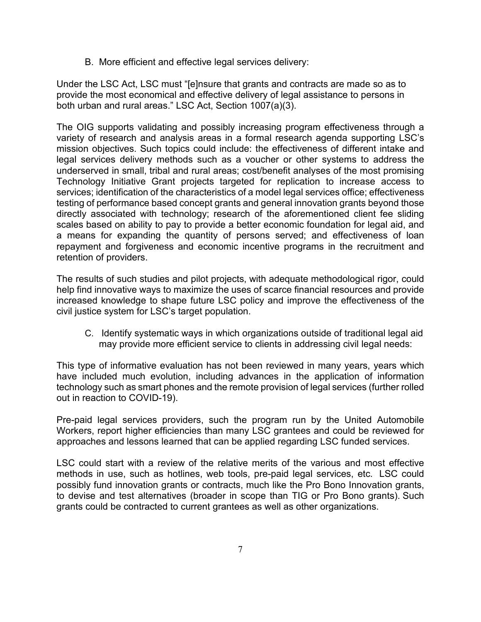B. More efficient and effective legal services delivery:

Under the LSC Act, LSC must "[e]nsure that grants and contracts are made so as to provide the most economical and effective delivery of legal assistance to persons in both urban and rural areas." LSC Act, Section 1007(a)(3).

The OIG supports validating and possibly increasing program effectiveness through a variety of research and analysis areas in a formal research agenda supporting LSC's mission objectives. Such topics could include: the effectiveness of different intake and legal services delivery methods such as a voucher or other systems to address the underserved in small, tribal and rural areas; cost/benefit analyses of the most promising Technology Initiative Grant projects targeted for replication to increase access to services; identification of the characteristics of a model legal services office; effectiveness testing of performance based concept grants and general innovation grants beyond those directly associated with technology; research of the aforementioned client fee sliding scales based on ability to pay to provide a better economic foundation for legal aid, and a means for expanding the quantity of persons served; and effectiveness of loan repayment and forgiveness and economic incentive programs in the recruitment and retention of providers.

The results of such studies and pilot projects, with adequate methodological rigor, could help find innovative ways to maximize the uses of scarce financial resources and provide increased knowledge to shape future LSC policy and improve the effectiveness of the civil justice system for LSC's target population.

C. Identify systematic ways in which organizations outside of traditional legal aid may provide more efficient service to clients in addressing civil legal needs:

This type of informative evaluation has not been reviewed in many years, years which have included much evolution, including advances in the application of information technology such as smart phones and the remote provision of legal services (further rolled out in reaction to COVID-19).

Pre-paid legal services providers, such the program run by the United Automobile Workers, report higher efficiencies than many LSC grantees and could be reviewed for approaches and lessons learned that can be applied regarding LSC funded services.

LSC could start with a review of the relative merits of the various and most effective methods in use, such as hotlines, web tools, pre-paid legal services, etc. LSC could possibly fund innovation grants or contracts, much like the Pro Bono Innovation grants, to devise and test alternatives (broader in scope than TIG or Pro Bono grants). Such grants could be contracted to current grantees as well as other organizations.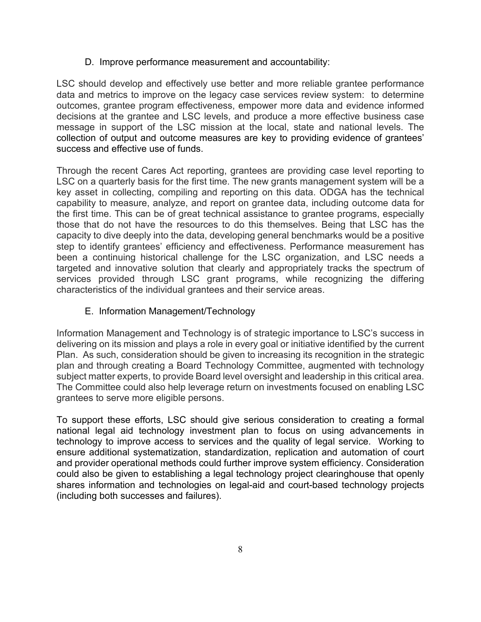### D. Improve performance measurement and accountability:

LSC should develop and effectively use better and more reliable grantee performance data and metrics to improve on the legacy case services review system: to determine outcomes, grantee program effectiveness, empower more data and evidence informed decisions at the grantee and LSC levels, and produce a more effective business case message in support of the LSC mission at the local, state and national levels. The collection of output and outcome measures are key to providing evidence of grantees' success and effective use of funds.

Through the recent Cares Act reporting, grantees are providing case level reporting to LSC on a quarterly basis for the first time. The new grants management system will be a key asset in collecting, compiling and reporting on this data. ODGA has the technical capability to measure, analyze, and report on grantee data, including outcome data for the first time. This can be of great technical assistance to grantee programs, especially those that do not have the resources to do this themselves. Being that LSC has the capacity to dive deeply into the data, developing general benchmarks would be a positive step to identify grantees' efficiency and effectiveness. Performance measurement has been a continuing historical challenge for the LSC organization, and LSC needs a targeted and innovative solution that clearly and appropriately tracks the spectrum of services provided through LSC grant programs, while recognizing the differing characteristics of the individual grantees and their service areas.

### E. Information Management/Technology

Information Management and Technology is of strategic importance to LSC's success in delivering on its mission and plays a role in every goal or initiative identified by the current Plan. As such, consideration should be given to increasing its recognition in the strategic plan and through creating a Board Technology Committee, augmented with technology subject matter experts, to provide Board level oversight and leadership in this critical area. The Committee could also help leverage return on investments focused on enabling LSC grantees to serve more eligible persons.

To support these efforts, LSC should give serious consideration to creating a formal national legal aid technology investment plan to focus on using advancements in technology to improve access to services and the quality of legal service. Working to ensure additional systematization, standardization, replication and automation of court and provider operational methods could further improve system efficiency. Consideration could also be given to establishing a legal technology project clearinghouse that openly shares information and technologies on legal-aid and court-based technology projects (including both successes and failures).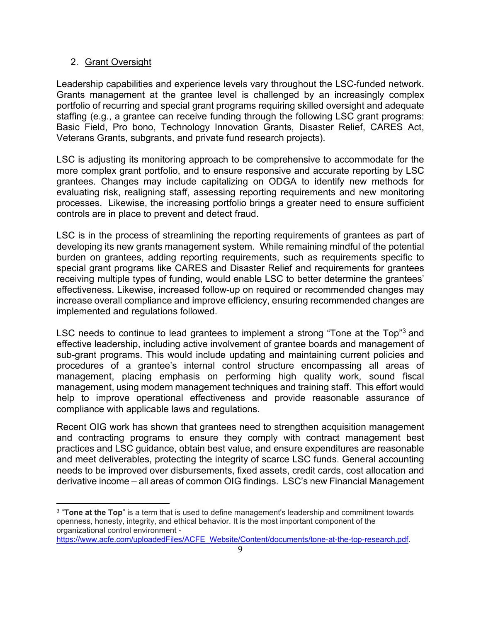#### 2. Grant Oversight

Leadership capabilities and experience levels vary throughout the LSC-funded network. Grants management at the grantee level is challenged by an increasingly complex portfolio of recurring and special grant programs requiring skilled oversight and adequate staffing (e.g., a grantee can receive funding through the following LSC grant programs: Basic Field, Pro bono, Technology Innovation Grants, Disaster Relief, CARES Act, Veterans Grants, subgrants, and private fund research projects).

LSC is adjusting its monitoring approach to be comprehensive to accommodate for the more complex grant portfolio, and to ensure responsive and accurate reporting by LSC grantees. Changes may include capitalizing on ODGA to identify new methods for evaluating risk, realigning staff, assessing reporting requirements and new monitoring processes. Likewise, the increasing portfolio brings a greater need to ensure sufficient controls are in place to prevent and detect fraud.

LSC is in the process of streamlining the reporting requirements of grantees as part of developing its new grants management system. While remaining mindful of the potential burden on grantees, adding reporting requirements, such as requirements specific to special grant programs like CARES and Disaster Relief and requirements for grantees receiving multiple types of funding, would enable LSC to better determine the grantees' effectiveness. Likewise, increased follow-up on required or recommended changes may increase overall compliance and improve efficiency, ensuring recommended changes are implemented and regulations followed.

LSC needs to continue to lead grantees to implement a strong "Tone at the Top"<sup>[3](#page-8-0)</sup> and effective leadership, including active involvement of grantee boards and management of sub-grant programs. This would include updating and maintaining current policies and procedures of a grantee's internal control structure encompassing all areas of management, placing emphasis on performing high quality work, sound fiscal management, using modern management techniques and training staff. This effort would help to improve operational effectiveness and provide reasonable assurance of compliance with applicable laws and regulations.

Recent OIG work has shown that grantees need to strengthen acquisition management and contracting programs to ensure they comply with contract management best practices and LSC guidance, obtain best value, and ensure expenditures are reasonable and meet deliverables, protecting the integrity of scarce LSC funds. General accounting needs to be improved over disbursements, fixed assets, credit cards, cost allocation and derivative income – all areas of common OIG findings. LSC's new Financial Management

<span id="page-8-0"></span><sup>3</sup> "**Tone at the Top**" is a term that is used to define management's leadership and commitment towards openness, honesty, integrity, and ethical behavior. It is the most important component of the organizational control environment -

[https://www.acfe.com/uploadedFiles/ACFE\\_Website/Content/documents/tone-at-the-top-research.pdf.](https://www.acfe.com/uploadedFiles/ACFE_Website/Content/documents/tone-at-the-top-research.pdf)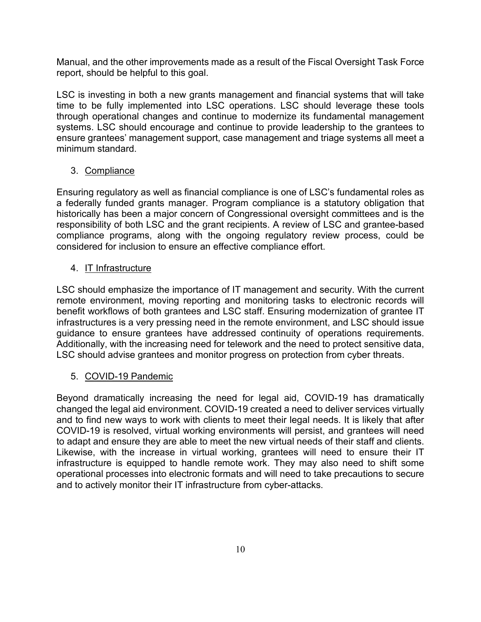Manual, and the other improvements made as a result of the Fiscal Oversight Task Force report, should be helpful to this goal.

LSC is investing in both a new grants management and financial systems that will take time to be fully implemented into LSC operations. LSC should leverage these tools through operational changes and continue to modernize its fundamental management systems. LSC should encourage and continue to provide leadership to the grantees to ensure grantees' management support, case management and triage systems all meet a minimum standard.

# 3. Compliance

Ensuring regulatory as well as financial compliance is one of LSC's fundamental roles as a federally funded grants manager. Program compliance is a statutory obligation that historically has been a major concern of Congressional oversight committees and is the responsibility of both LSC and the grant recipients. A review of LSC and grantee-based compliance programs, along with the ongoing regulatory review process, could be considered for inclusion to ensure an effective compliance effort.

# 4. IT Infrastructure

LSC should emphasize the importance of IT management and security. With the current remote environment, moving reporting and monitoring tasks to electronic records will benefit workflows of both grantees and LSC staff. Ensuring modernization of grantee IT infrastructures is a very pressing need in the remote environment, and LSC should issue guidance to ensure grantees have addressed continuity of operations requirements. Additionally, with the increasing need for telework and the need to protect sensitive data, LSC should advise grantees and monitor progress on protection from cyber threats.

# 5. COVID-19 Pandemic

Beyond dramatically increasing the need for legal aid, COVID-19 has dramatically changed the legal aid environment. COVID-19 created a need to deliver services virtually and to find new ways to work with clients to meet their legal needs. It is likely that after COVID-19 is resolved, virtual working environments will persist, and grantees will need to adapt and ensure they are able to meet the new virtual needs of their staff and clients. Likewise, with the increase in virtual working, grantees will need to ensure their IT infrastructure is equipped to handle remote work. They may also need to shift some operational processes into electronic formats and will need to take precautions to secure and to actively monitor their IT infrastructure from cyber-attacks.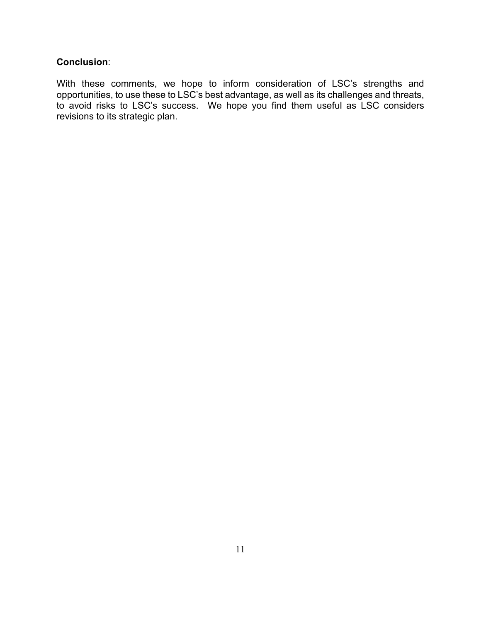### **Conclusion**:

With these comments, we hope to inform consideration of LSC's strengths and opportunities, to use these to LSC's best advantage, as well as its challenges and threats, to avoid risks to LSC's success. We hope you find them useful as LSC considers revisions to its strategic plan.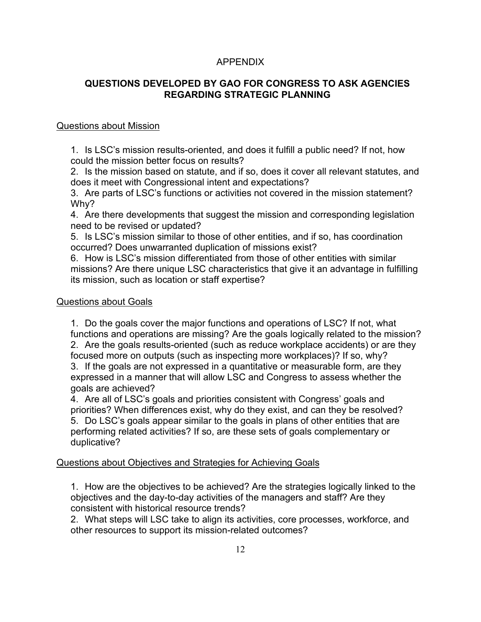### APPENDIX

### **QUESTIONS DEVELOPED BY GAO FOR CONGRESS TO ASK AGENCIES REGARDING STRATEGIC PLANNING**

### Questions about Mission

1. Is LSC's mission results-oriented, and does it fulfill a public need? If not, how could the mission better focus on results?

2. Is the mission based on statute, and if so, does it cover all relevant statutes, and does it meet with Congressional intent and expectations?

3. Are parts of LSC's functions or activities not covered in the mission statement? Why?

4. Are there developments that suggest the mission and corresponding legislation need to be revised or updated?

5. Is LSC's mission similar to those of other entities, and if so, has coordination occurred? Does unwarranted duplication of missions exist?

6. How is LSC's mission differentiated from those of other entities with similar missions? Are there unique LSC characteristics that give it an advantage in fulfilling its mission, such as location or staff expertise?

#### Questions about Goals

1. Do the goals cover the major functions and operations of LSC? If not, what functions and operations are missing? Are the goals logically related to the mission? 2. Are the goals results-oriented (such as reduce workplace accidents) or are they focused more on outputs (such as inspecting more workplaces)? If so, why?

3. If the goals are not expressed in a quantitative or measurable form, are they expressed in a manner that will allow LSC and Congress to assess whether the goals are achieved?

4. Are all of LSC's goals and priorities consistent with Congress' goals and priorities? When differences exist, why do they exist, and can they be resolved? 5. Do LSC's goals appear similar to the goals in plans of other entities that are performing related activities? If so, are these sets of goals complementary or duplicative?

### Questions about Objectives and Strategies for Achieving Goals

1. How are the objectives to be achieved? Are the strategies logically linked to the objectives and the day-to-day activities of the managers and staff? Are they consistent with historical resource trends?

2. What steps will LSC take to align its activities, core processes, workforce, and other resources to support its mission-related outcomes?